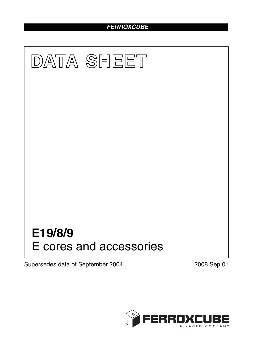### *FERROXCUBE*



Supersedes data of September 2004 2008 Sep 01

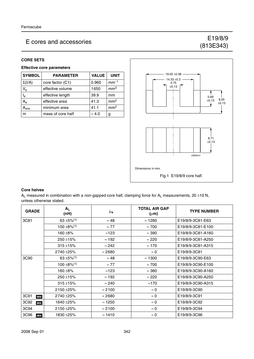# (813E343)

#### **CORE SETS**

#### **Effective core parameters**

| <b>SYMBOL</b> | <b>PARAMETER</b>  | <b>VALUE</b>  | <b>UNIT</b>     |
|---------------|-------------------|---------------|-----------------|
| $\Sigma(I/A)$ | core factor (C1)  | 0.960         | $mm-1$          |
| $V_{e}$       | effective volume  | 1650          | mm <sup>3</sup> |
| $I_e$         | effective length  | 39.9          | mm              |
| $A_{\rm e}$   | effective area    | 41.3          | mm <sup>2</sup> |
| $A_{\sf min}$ | minimum area      | 41.1          | mm <sup>2</sup> |
| m             | mass of core half | $\approx 4.0$ | g               |



#### **Core halves**

 $A_L$  measured in combination with a non-gapped core half, clamping force for  $A_L$  measurements, 20 ±10 N, unless otherwise stated.

| <b>GRADE</b> | $A_L$<br>(nH)   | μ <sub>e</sub> | <b>TOTAL AIR GAP</b><br>$(\mu m)$ | <b>TYPE NUMBER</b> |
|--------------|-----------------|----------------|-----------------------------------|--------------------|
| 3C81         | 63 ±5% $(1)$    | $\approx 48$   | $\approx$ 1280                    | E19/8/9-3C81-E63   |
|              | $100 \pm 8\%/1$ | $\approx$ 77   | $\approx 700$                     | E19/8/9-3C81-E100  |
|              | 160 ±8%         | $\approx$ 123  | $\approx 390$                     | E19/8/9-3C81-A160  |
|              | $250 \pm 15\%$  | $\approx$ 192  | $\approx 220$                     | E19/8/9-3C81-A250  |
|              | $315 + 15%$     | $\approx 242$  | $\approx 170$                     | E19/8/9-3C81-A315  |
|              | 2740 ± 25%      | $\approx$ 2680 | $\approx 0$                       | E19/8/9-3C81       |
| 3C90         | 63 ± 5% $(1)$   | $\approx 48$   | $\approx$ 1300                    | E19/8/9-3C90-E63   |
|              | $100 \pm 8\%/1$ | $\approx 77$   | $\approx 700$                     | E19/8/9-3C90-E100  |
|              | 160 ±8%         | $\approx$ 123  | $\approx 380$                     | E19/8/9-3C90-A160  |
|              | $250 + 15%$     | $\approx$ 192  | $\approx 220$                     | E19/8/9-3C90-A250  |
|              | $315 + 15%$     | $\approx$ 240  | $\approx$ 170                     | E19/8/9-3C90-A315  |
|              | 2150 ±25%       | $\approx$ 2100 | $\approx 0$                       | E19/8/9-3C90       |
| 3C91<br>des  | 2740 ±25%       | $\approx$ 2680 | $\approx 0$                       | E19/8/9-3C91       |
| 3C92<br>des  | 1640 ±25%       | $\approx$ 1250 | $\approx 0$                       | E19/8/9-3C92       |
| 3C94         | 2150 ±25%       | $\approx$ 2100 | $\approx 0$                       | E19/8/9-3C94       |
| 3C96<br>des  | 1830 ± 25%      | $\approx$ 1410 | $\approx 0$                       | E19/8/9-3C96       |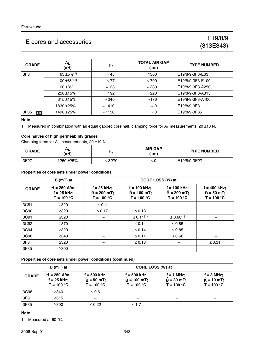## (813E343)

| <b>GRADE</b> | $A_L$<br>(nH)             | μ <sub>e</sub> | <b>TOTAL AIR GAP</b><br>$(\mu m)$ | <b>TYPE NUMBER</b> |
|--------------|---------------------------|----------------|-----------------------------------|--------------------|
| 3F3          | $63 + 5\%$ <sup>(1)</sup> | $\approx 48$   | $\approx$ 1300                    | E19/8/9-3F3-E63    |
|              | $100 \pm 8\%/1$           | $\approx$ 77   | $\approx 700$                     | E19/8/9-3F3-E100   |
|              | 160 $\pm$ 8%              | $\approx$ 123  | $\approx$ 380                     | E19/8/9-3F3-A250   |
|              | $250 + 15%$               | $\approx$ 192  | $\approx 220$                     | E19/8/9-3F3-A315   |
|              | $315 + 15%$               | $\approx$ 240  | $\approx$ 170                     | E19/8/9-3F3-A400   |
|              | 1830 ±25%                 | $\approx$ 1410 | $\approx 0$                       | E19/8/9-3F3        |
| 3F35<br>des  | 1490 ± 25%                | $\approx$ 1150 | $\approx 0$                       | E19/8/9-3F35       |

#### **Note**

1. Measured in combination with an equal gapped core half, clamping force for  $A_L$  measurements, 20  $\pm$ 10 N.

#### **Core halves of high permeability grades**

Clamping force for  $A_L$  measurements, 20  $\pm$ 10 N.

| <b>GRADE</b> | ΑL<br>(nH) | μe             | <b>AIR GAP</b><br>$(\mu m)$ | <b>TYPE NUMBER</b> |
|--------------|------------|----------------|-----------------------------|--------------------|
| 3E27         | 4250 ± 25% | $\approx$ 3270 | $\approx$ (                 | E19/8/9-3E27       |

#### **Properties of core sets under power conditions**

|                 | $B(mT)$ at                                      | CORE LOSS (W) at                                |                                                 |                                                  |                                                |  |
|-----------------|-------------------------------------------------|-------------------------------------------------|-------------------------------------------------|--------------------------------------------------|------------------------------------------------|--|
| <b>GRADE</b>    | $H = 250$ A/m;<br>$f = 25$ kHz;<br>$T = 100 °C$ | $f = 25$ kHz;<br>$B = 200 mT$ ;<br>$T = 100 °C$ | $f = 100$ kHz;<br>$B = 100$ mT;<br>$T = 100 °C$ | $f = 100$ kHz;<br>$B = 200 mT$ ;<br>$T = 100 °C$ | $f = 400$ kHz;<br>$B = 50 mT;$<br>$T = 100 °C$ |  |
| 3C81            | $\geq 320$                                      | $\leq 0.4$                                      |                                                 |                                                  |                                                |  |
| 3C90            | $\geq 320$                                      | $\leq 0.17$                                     | $≤ 0.18$                                        |                                                  |                                                |  |
| 3C91            | $\geq 320$                                      |                                                 | $\leq 0.11^{(1)}$                               | $\leq 0.68^{(1)}$                                |                                                |  |
| 3C92            | $\geq$ 370                                      |                                                 | $\leq 0.14$                                     | $\leq 0.85$                                      |                                                |  |
| 3C94            | $\geq 320$                                      |                                                 | $\leq 0.14$                                     | $\leq 0.85$                                      |                                                |  |
| 3C96            | $\geq$ 340                                      |                                                 | $≤ 0.11$                                        | $\leq 0.68$                                      |                                                |  |
| 3F <sub>3</sub> | $\geq 320$                                      |                                                 | $≤ 0.18$                                        |                                                  | $\leq 0.31$                                    |  |
| 3F35            | $\geq 300$                                      |                                                 |                                                 |                                                  |                                                |  |

#### **Properties of core sets under power conditions (continued)**

| B (mT) at       |                                                 |                                               | CORE LOSS (W) at                              |                                               |                                                     |  |
|-----------------|-------------------------------------------------|-----------------------------------------------|-----------------------------------------------|-----------------------------------------------|-----------------------------------------------------|--|
| <b>GRADE</b>    | $H = 250$ A/m;<br>$f = 25$ kHz;<br>$T = 100 °C$ | f = 500 kHz;<br>$B = 50 mT$ ;<br>$T = 100 °C$ | f = 500 kHz;<br>$B = 100$ mT;<br>$T = 100 °C$ | $f = 1 MHz$ ;<br>$B = 30 mT;$<br>$T = 100 °C$ | $f = 3 MHz$ ;<br>$\hat{B} = 10$ mT;<br>$T = 100 °C$ |  |
| 3C96            | $\geq$ 340                                      | $\leq 0.6$                                    |                                               |                                               |                                                     |  |
| 3F <sub>3</sub> | $\geq$ 315                                      |                                               |                                               |                                               |                                                     |  |
| 3F35            | $\geq 300$                                      | $\leq 0.22$                                   | $\leq 1.7$                                    |                                               |                                                     |  |

#### **Note**

1. Measured at 60 °C.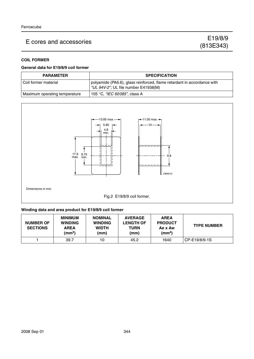#### **COIL FORMER**

#### **General data for E19/8/9 coil former**

| <b>PARAMETER</b>              | <b>SPECIFICATION</b>                                                                                            |
|-------------------------------|-----------------------------------------------------------------------------------------------------------------|
| l Coil former material        | polyamide (PA6.6), glass reinforced, flame retardant in accordance with<br>"UL 94V-2"; UL file number E41938(M) |
| Maximum operating temperature | 105 °C, <i>"IEC 60085"</i> , class A                                                                            |



Dimensions in mm.

Fig.2 E19/8/9 coil former.

#### **Winding data and area product for E19/8/9 coil former**

| <b>NUMBER OF</b><br><b>SECTIONS</b> | <b>MINIMUM</b><br><b>WINDING</b><br><b>AREA</b><br>(mm <sup>2</sup> ) | <b>NOMINAL</b><br><b>WINDING</b><br><b>WIDTH</b><br>(mm) | <b>AVERAGE</b><br><b>LENGTH OF</b><br><b>TURN</b><br>(mm) | <b>AREA</b><br><b>PRODUCT</b><br>Ae x Aw<br>(mm <sup>4</sup> ) | <b>TYPE NUMBER</b> |
|-------------------------------------|-----------------------------------------------------------------------|----------------------------------------------------------|-----------------------------------------------------------|----------------------------------------------------------------|--------------------|
|                                     | 39.7                                                                  | 10                                                       | 45.2                                                      | 1640                                                           | CP-E19/8/9-1S      |